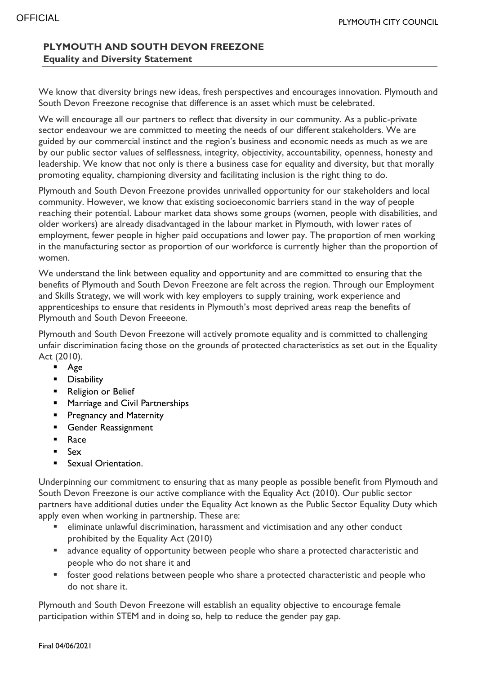## **PLYMOUTH AND SOUTH DEVON FREEZONE Equality and Diversity Statement**

We know that diversity brings new ideas, fresh perspectives and encourages innovation. Plymouth and South Devon Freezone recognise that difference is an asset which must be celebrated.

We will encourage all our partners to reflect that diversity in our community. As a public-private sector endeavour we are committed to meeting the needs of our different stakeholders. We are guided by our commercial instinct and the region's business and economic needs as much as we are by our public sector values of selflessness, integrity, objectivity, accountability, openness, honesty and leadership. We know that not only is there a business case for equality and diversity, but that morally promoting equality, championing diversity and facilitating inclusion is the right thing to do.

Plymouth and South Devon Freezone provides unrivalled opportunity for our stakeholders and local community. However, we know that existing socioeconomic barriers stand in the way of people reaching their potential. Labour market data shows some groups (women, people with disabilities, and older workers) are already disadvantaged in the labour market in Plymouth, with lower rates of employment, fewer people in higher paid occupations and lower pay. The proportion of men working in the manufacturing sector as proportion of our workforce is currently higher than the proportion of women.

We understand the link between equality and opportunity and are committed to ensuring that the benefits of Plymouth and South Devon Freezone are felt across the region. Through our Employment and Skills Strategy, we will work with key employers to supply training, work experience and apprenticeships to ensure that residents in Plymouth's most deprived areas reap the benefits of Plymouth and South Devon Freeeone.

Plymouth and South Devon Freezone will actively promote equality and is committed to challenging unfair discrimination facing those on the grounds of protected characteristics as set out in the Equality Act (2010).

- Age
- **Disability**
- **Religion or Belief**
- **Marriage and Civil Partnerships**
- **Pregnancy and Maternity**
- **Gender Reassignment**
- **Race**
- Sex
- **Sexual Orientation.**

Underpinning our commitment to ensuring that as many people as possible benefit from Plymouth and South Devon Freezone is our active compliance with the Equality Act (2010). Our public sector partners have additional duties under the Equality Act known as the Public Sector Equality Duty which apply even when working in partnership. These are:

- eliminate unlawful discrimination, harassment and victimisation and any other conduct prohibited by the Equality Act (2010)
- **E** advance equality of opportunity between people who share a protected characteristic and people who do not share it and
- foster good relations between people who share a protected characteristic and people who do not share it.

Plymouth and South Devon Freezone will establish an equality objective to encourage female participation within STEM and in doing so, help to reduce the gender pay gap.